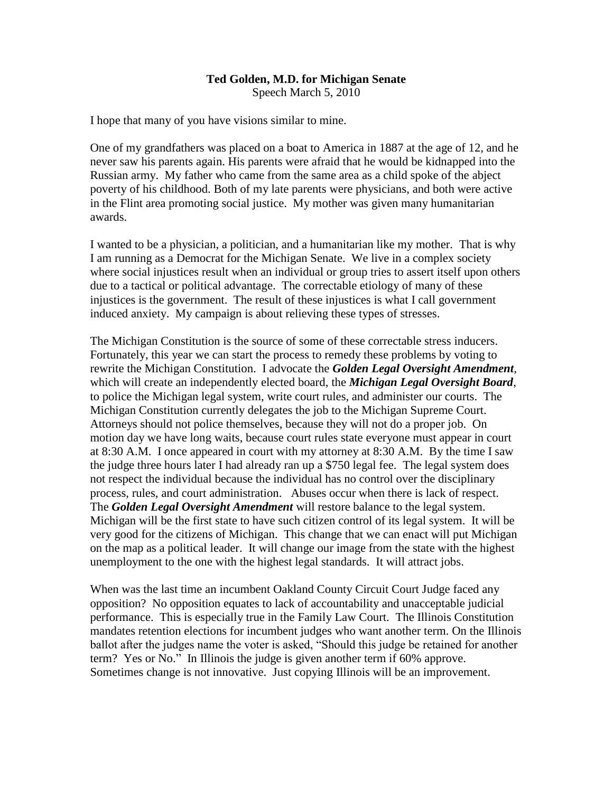## **Ted Golden, M.D. for Michigan Senate**

Speech March 5, 2010

I hope that many of you have visions similar to mine.

One of my grandfathers was placed on a boat to America in 1887 at the age of 12, and he never saw his parents again. His parents were afraid that he would be kidnapped into the Russian army. My father who came from the same area as a child spoke of the abject poverty of his childhood. Both of my late parents were physicians, and both were active in the Flint area promoting social justice. My mother was given many humanitarian awards.

I wanted to be a physician, a politician, and a humanitarian like my mother. That is why I am running as a Democrat for the Michigan Senate. We live in a complex society where social injustices result when an individual or group tries to assert itself upon others due to a tactical or political advantage. The correctable etiology of many of these injustices is the government. The result of these injustices is what I call government induced anxiety. My campaign is about relieving these types of stresses.

The Michigan Constitution is the source of some of these correctable stress inducers. Fortunately, this year we can start the process to remedy these problems by voting to rewrite the Michigan Constitution. I advocate the *Golden Legal Oversight Amendment*, which will create an independently elected board, the *Michigan Legal Oversight Board*, to police the Michigan legal system, write court rules, and administer our courts. The Michigan Constitution currently delegates the job to the Michigan Supreme Court. Attorneys should not police themselves, because they will not do a proper job. On motion day we have long waits, because court rules state everyone must appear in court at 8:30 A.M. I once appeared in court with my attorney at 8:30 A.M. By the time I saw the judge three hours later I had already ran up a \$750 legal fee. The legal system does not respect the individual because the individual has no control over the disciplinary process, rules, and court administration. Abuses occur when there is lack of respect. The *Golden Legal Oversight Amendment* will restore balance to the legal system. Michigan will be the first state to have such citizen control of its legal system. It will be very good for the citizens of Michigan. This change that we can enact will put Michigan on the map as a political leader. It will change our image from the state with the highest unemployment to the one with the highest legal standards. It will attract jobs.

When was the last time an incumbent Oakland County Circuit Court Judge faced any opposition? No opposition equates to lack of accountability and unacceptable judicial performance. This is especially true in the Family Law Court. The Illinois Constitution mandates retention elections for incumbent judges who want another term. On the Illinois ballot after the judges name the voter is asked, "Should this judge be retained for another term? Yes or No." In Illinois the judge is given another term if 60% approve. Sometimes change is not innovative. Just copying Illinois will be an improvement.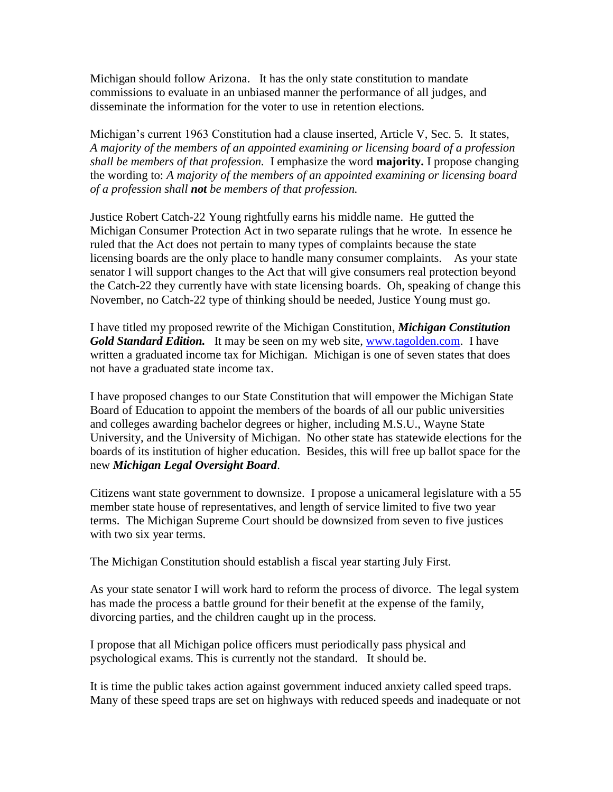Michigan should follow Arizona. It has the only state constitution to mandate commissions to evaluate in an unbiased manner the performance of all judges, and disseminate the information for the voter to use in retention elections.

Michigan's current 1963 Constitution had a clause inserted, Article V, Sec. 5. It states, *A majority of the members of an appointed examining or licensing board of a profession shall be members of that profession.* I emphasize the word **majority.** I propose changing the wording to: *A majority of the members of an appointed examining or licensing board of a profession shall not be members of that profession.*

Justice Robert Catch-22 Young rightfully earns his middle name. He gutted the Michigan Consumer Protection Act in two separate rulings that he wrote. In essence he ruled that the Act does not pertain to many types of complaints because the state licensing boards are the only place to handle many consumer complaints. As your state senator I will support changes to the Act that will give consumers real protection beyond the Catch-22 they currently have with state licensing boards. Oh, speaking of change this November, no Catch-22 type of thinking should be needed, Justice Young must go.

I have titled my proposed rewrite of the Michigan Constitution, *Michigan Constitution Gold Standard Edition.* It may be seen on my web site, [www.tagolden.com.](http://www.tagolden.com/) I have written a graduated income tax for Michigan. Michigan is one of seven states that does not have a graduated state income tax.

I have proposed changes to our State Constitution that will empower the Michigan State Board of Education to appoint the members of the boards of all our public universities and colleges awarding bachelor degrees or higher, including M.S.U., Wayne State University, and the University of Michigan. No other state has statewide elections for the boards of its institution of higher education. Besides, this will free up ballot space for the new *Michigan Legal Oversight Board*.

Citizens want state government to downsize. I propose a unicameral legislature with a 55 member state house of representatives, and length of service limited to five two year terms. The Michigan Supreme Court should be downsized from seven to five justices with two six year terms.

The Michigan Constitution should establish a fiscal year starting July First.

As your state senator I will work hard to reform the process of divorce. The legal system has made the process a battle ground for their benefit at the expense of the family, divorcing parties, and the children caught up in the process.

I propose that all Michigan police officers must periodically pass physical and psychological exams. This is currently not the standard. It should be.

It is time the public takes action against government induced anxiety called speed traps. Many of these speed traps are set on highways with reduced speeds and inadequate or not